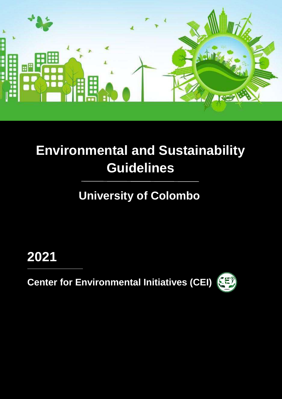

## **Environmental and Sustainability Guidelines**

## **University of Colombo 2**

**2021**

**Center for Environmental Initiatives (CEI)** 

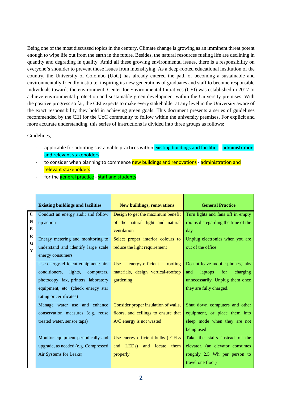Being one of the most discussed topics in the century, Climate change is growing as an imminent threat potent enough to wipe life out from the earth in the future. Besides, the natural resources fueling life are declining in quantity and degrading in quality. Amid all these growing environmental issues, there is a responsibility on everyone`s shoulder to prevent those issues from intensifying. As a deep-rooted educational institution of the country, the University of Colombo (UoC) has already entered the path of becoming a sustainable and environmentally friendly institute, inspiring its new generations of graduates and staff to become responsible individuals towards the environment. Center for Environmental Initiatives (CEI) was established in 2017 to achieve environmental protection and sustainable green development within the University premises. With the positive progress so far, the CEI expects to make every stakeholder at any level in the University aware of the exact responsibility they hold in achieving green goals. This document presents a series of guidelines recommended by the CEI for the UoC community to follow within the university premises. For explicit and more accurate understanding, this series of instructions is divided into three groups as follows:

## Guidelines,

- applicable for adopting sustainable practices within existing buildings and facilities administration and relevant stakeholders
- to consider when planning to commence new buildings and renovations administration and relevant stakeholders
- for the general practice staff and students

|          | <b>Existing buildings and facilities</b> | <b>New buildings, renovations</b>      | <b>General Practice</b>            |
|----------|------------------------------------------|----------------------------------------|------------------------------------|
| E        | Conduct an energy audit and follow       | Design to get the maximum benefit      | Turn lights and fans off in empty  |
| N        | up action                                | of the natural light and natural       | rooms disregarding the time of the |
| E        |                                          | ventilation                            | day                                |
| $\bf{R}$ | Energy metering and monitoring to        | Select proper interior colours to      | Unplug electronics when you are    |
| G        | understand and identify large scale      | reduce the light requirement           | out of the office                  |
| Y        | energy consumers                         |                                        |                                    |
|          | Use energy-efficient equipment: air-     | energy-efficient<br>Use<br>roofing     | Do not leave mobile phones, tabs   |
|          | conditioners,<br>lights,<br>computers,   | materials, design vertical-rooftop     | laptops<br>and<br>for<br>charging  |
|          | photocopy, fax, printers, laboratory     | gardening                              | unnecessarily. Unplug them once    |
|          | equipment, etc. (check energy star       |                                        | they are fully charged.            |
|          | rating or certificates)                  |                                        |                                    |
|          | Manage water use and enhance             | Consider proper insulation of walls,   | Shut down computers and other      |
|          | conservation measures (e.g. reuse        | floors, and ceilings to ensure that    | equipment, or place them into      |
|          | treated water, sensor taps)              | A/C energy is not wasted               | sleep mode when they are not       |
|          |                                          |                                        | being used                         |
|          | Monitor equipment periodically and       | Use energy efficient bulbs (CFLs)      | Take the stairs instead of the     |
|          | upgrade, as needed (e.g. Compressed      | and LED <sub>s</sub> ) and locate them | elevator. (an elevator consumes    |
|          | Air Systems for Leaks)                   | properly                               | roughly 2.5 Wh per person to       |
|          |                                          |                                        | travel one floor)                  |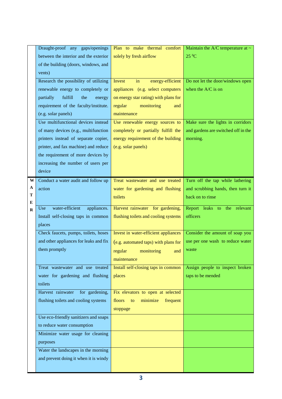|          | Draught-proof any gaps/openings        | Plan to make thermal comfort          | Maintain the A/C temperature at $\sim$ |
|----------|----------------------------------------|---------------------------------------|----------------------------------------|
|          | between the interior and the exterior  | solely by fresh airflow               | $25\text{ °C}$                         |
|          | of the building (doors, windows, and   |                                       |                                        |
|          | vents)                                 |                                       |                                        |
|          | Research the possibility of utilizing  | Invest<br>in<br>energy-efficient      | Do not let the door/windows open       |
|          | renewable energy to completely or      | appliances (e.g. select computers     | when the A/C is on                     |
|          | fulfill<br>partially<br>the<br>energy  | on energy star rating) with plans for |                                        |
|          | requirement of the faculty/institute.  | regular<br>monitoring<br>and          |                                        |
|          | (e.g. solar panels)                    | maintenance                           |                                        |
|          | Use multifunctional devices instead    | Use renewable energy sources to       | Make sure the lights in corridors      |
|          | of many devices (e.g., multifunction   | completely or partially fulfill the   | and gardens are switched off in the    |
|          | printers instead of separate copier,   | energy requirement of the building    | morning.                               |
|          | printer, and fax machine) and reduce   | (e.g. solar panels)                   |                                        |
|          | the requirement of more devices by     |                                       |                                        |
|          | increasing the number of users per     |                                       |                                        |
|          | device                                 |                                       |                                        |
| W        | Conduct a water audit and follow up    | Treat wastewater and use treated      | Turn off the tap while lathering       |
| A        | action                                 | water for gardening and flushing      | and scrubbing hands, then turn it      |
| T        |                                        | toilets                               | back on to rinse                       |
| E        |                                        |                                       |                                        |
| $\bf{R}$ | water-efficient<br>appliances.<br>Use  | Harvest rainwater for gardening,      | Report leaks to the relevant           |
|          | Install self-closing taps in common    | flushing toilets and cooling systems  | officers                               |
|          | places                                 |                                       |                                        |
|          | Check faucets, pumps, toilets, hoses   | Invest in water-efficient appliances  | Consider the amount of soap you        |
|          | and other appliances for leaks and fix | (e.g. automated taps) with plans for  | use per one wash to reduce water       |
|          | them promptly                          | regular<br>monitoring<br>and          | waste                                  |
|          |                                        | maintenance                           |                                        |
|          | Treat wastewater and use treated       | Install self-closing taps in common   | Assign people to inspect broken        |
|          | water for gardening and flushing       | places                                | taps to be mended                      |
|          | toilets                                |                                       |                                        |
|          | Harvest rainwater<br>for gardening,    | Fix elevators to open at selected     |                                        |
|          | flushing toilets and cooling systems   | floors<br>minimize<br>frequent<br>to  |                                        |
|          |                                        | stoppage                              |                                        |
|          | Use eco-friendly sanitizers and soaps  |                                       |                                        |
|          | to reduce water consumption            |                                       |                                        |
|          | Minimize water usage for cleaning      |                                       |                                        |
|          | purposes                               |                                       |                                        |
|          | Water the landscapes in the morning    |                                       |                                        |
|          | and prevent doing it when it is windy  |                                       |                                        |
|          |                                        |                                       |                                        |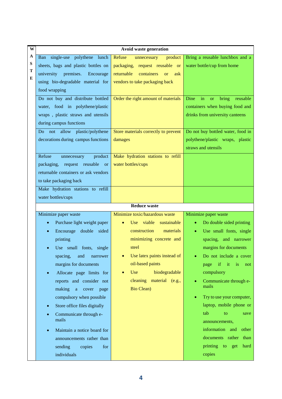| W                | Avoid waste generation                                                                                                                                                                                                                                                                                                                                                                                                                        |                                                                                                                                                                                                                                                                  |                                                                                                                                                                                                                                                                                                                                                                        |
|------------------|-----------------------------------------------------------------------------------------------------------------------------------------------------------------------------------------------------------------------------------------------------------------------------------------------------------------------------------------------------------------------------------------------------------------------------------------------|------------------------------------------------------------------------------------------------------------------------------------------------------------------------------------------------------------------------------------------------------------------|------------------------------------------------------------------------------------------------------------------------------------------------------------------------------------------------------------------------------------------------------------------------------------------------------------------------------------------------------------------------|
| A<br>S<br>т<br>E | Ban single-use polythene lunch<br>sheets, bags and plastic bottles on<br>university<br>premises.<br>Encourage<br>using bio-degradable material for<br>food wrapping                                                                                                                                                                                                                                                                           | Refuse<br>product<br>unnecessary<br>packaging, request reusable or<br>returnable<br>containers<br><b>or</b><br>ask<br>vendors to take packaging back                                                                                                             | Bring a reusable lunchbox and a<br>water bottle/cup from home                                                                                                                                                                                                                                                                                                          |
|                  | Do not buy and distribute bottled<br>water, food in polythene/plastic<br>wraps, plastic straws and utensils<br>during campus functions                                                                                                                                                                                                                                                                                                        | Order the right amount of materials                                                                                                                                                                                                                              | in<br>bring<br>Dine<br>reusable<br><b>or</b><br>containers when buying food and<br>drinks from university canteens                                                                                                                                                                                                                                                     |
|                  | not allow plastic/polythene<br>Do<br>decorations during campus functions                                                                                                                                                                                                                                                                                                                                                                      | Store materials correctly to prevent<br>damages                                                                                                                                                                                                                  | Do not buy bottled water, food in<br>polythene/plastic wraps, plastic<br>straws and utensils                                                                                                                                                                                                                                                                           |
|                  | Refuse<br>product<br>unnecessary<br>request reusable<br>packaging,<br>or<br>returnable containers or ask vendors<br>to take packaging back                                                                                                                                                                                                                                                                                                    | Make hydration stations to refill<br>water bottles/cups                                                                                                                                                                                                          |                                                                                                                                                                                                                                                                                                                                                                        |
|                  | Make hydration stations to refill<br>water bottles/cups                                                                                                                                                                                                                                                                                                                                                                                       |                                                                                                                                                                                                                                                                  |                                                                                                                                                                                                                                                                                                                                                                        |
|                  |                                                                                                                                                                                                                                                                                                                                                                                                                                               | <b>Reduce waste</b>                                                                                                                                                                                                                                              |                                                                                                                                                                                                                                                                                                                                                                        |
|                  | Minimize paper waste<br>Purchase light weight paper<br>Encourage double sided<br>$\bullet$<br>printing<br>Use small fonts, single<br>spacing, and narrower<br>margins for documents<br>Allocate page limits for<br>$\bullet$<br>reports and consider not<br>making<br>a cover<br>page<br>compulsory when possible<br>Store office files digitally<br>$\bullet$<br>Communicate through e-<br>mails<br>Maintain a notice board for<br>$\bullet$ | Minimize toxic/hazardous waste<br>Use viable sustainable<br>construction<br>materials<br>minimizing concrete and<br>steel<br>• Use latex paints instead of $\vert$<br>oil-based paints<br>biodegradable<br>Use<br>cleaning material (e.g.,<br><b>Bio Clean</b> ) | Minimize paper waste<br>Do double sided printing<br>Use small fonts, single<br>spacing, and narrower<br>margins for documents<br>• Do not include a cover<br>if<br>it<br>is<br>page<br>not<br>compulsory<br>Communicate through e-<br>mails<br>Try to use your computer,<br>laptop, mobile phone or<br>tab<br>to<br>save<br>announcements,<br>information and<br>other |
|                  | announcements rather than                                                                                                                                                                                                                                                                                                                                                                                                                     |                                                                                                                                                                                                                                                                  | documents rather<br>than                                                                                                                                                                                                                                                                                                                                               |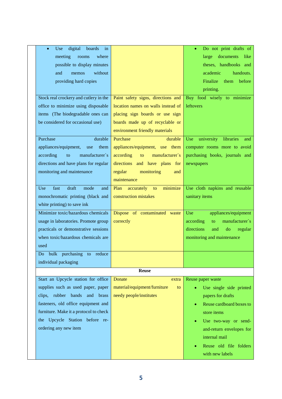| digital<br>boards<br>in<br>Use<br>$\bullet$ |                                      | Do not print drafts of                |
|---------------------------------------------|--------------------------------------|---------------------------------------|
| meeting<br>where<br>rooms                   |                                      | documents<br>large<br>like            |
| possible to display minutes                 |                                      | theses, handbooks and                 |
| without<br>and<br>memos                     |                                      | academic<br>handouts.                 |
| providing hard copies                       |                                      | Finalize<br>them<br>before            |
|                                             |                                      | printing.                             |
| Stock real crockery and cutlery in the      | Paint safety signs, directions and   | Buy food wisely to minimize           |
| office to minimize using disposable         | location names on walls instead of   | leftovers                             |
| items (The biodegradable ones can           | placing sign boards or use sign      |                                       |
| be considered for occasional use)           | boards made up of recyclable or      |                                       |
|                                             | environment friendly materials       |                                       |
| Purchase<br>durable                         | Purchase<br>durable                  | university<br>libraries<br>Use<br>and |
| appliances/equipment,<br>them<br>use        | appliances/equipment, use them       | computer rooms more to avoid          |
| manufacturer's<br>according<br>to           | according<br>manufacturer's<br>to    | purchasing books, journals and        |
| directions and have plans for regular       | directions and have plans for        | newspapers                            |
| monitoring and maintenance                  | regular<br>monitoring<br>and         |                                       |
|                                             | maintenance                          |                                       |
| fast<br>draft<br>Use<br>mode<br>and         | accurately<br>minimize<br>Plan<br>to | Use cloth napkins and reusable        |
| monochromatic printing (black and           | construction mistakes                | sanitary items                        |
| white printing) to save ink                 |                                      |                                       |
| Minimize toxic/hazardous chemicals          | Dispose of contaminated waste        | appliances/equipment<br>Use           |
| usage in laboratories. Promote group        | correctly                            | manufacturer`s<br>according<br>to     |
| practicals or demonstrative sessions        |                                      | directions<br>and<br>do<br>regular    |
| when toxic/hazardous chemicals are          |                                      | monitoring and maintenance            |
| used                                        |                                      |                                       |
| bulk purchasing<br>to reduce<br>Do          |                                      |                                       |
| individual packaging                        |                                      |                                       |
|                                             | <b>Reuse</b>                         |                                       |
|                                             |                                      |                                       |
| Start an Upcycle station for office         | Donate<br>extra                      | Reuse paper waste                     |
| supplies such as used paper, paper          | material/equipment/furniture<br>to.  | Use single side printed               |
| clips, rubber bands and brass               | needy people/institutes              | papers for drafts                     |
| fasteners, old office equipment and         |                                      | Reuse cardboard boxes to              |
| furniture. Make it a protocol to check      |                                      | store items                           |
| the Upcycle Station before re-              |                                      | Use two-way or send-                  |
| ordering any new item                       |                                      | and-return envelopes for              |
|                                             |                                      | internal mail                         |
|                                             |                                      | Reuse old file folders                |
|                                             |                                      | with new labels                       |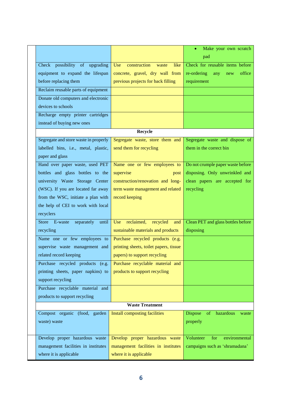|                                       |                                        | Make your own scratch               |
|---------------------------------------|----------------------------------------|-------------------------------------|
|                                       |                                        | pad                                 |
| Check possibility of upgrading        | Use<br>construction<br>like<br>waste   | Check for reusable items before     |
| equipment to expand the lifespan      | concrete, gravel, dry wall from        | re-ordering<br>office<br>any<br>new |
| before replacing them                 | previous projects for back filling     | requirement                         |
| Reclaim reusable parts of equipment   |                                        |                                     |
| Donate old computers and electronic   |                                        |                                     |
| devices to schools                    |                                        |                                     |
| Recharge empty printer cartridges     |                                        |                                     |
| instead of buying new ones            |                                        |                                     |
|                                       | Recycle                                |                                     |
| Segregate and store waste in properly | Segregate waste, store them and        | Segregate waste and dispose of      |
| labelled bins, i.e., metal, plastic,  | send them for recycling                | them in the correct bin             |
| paper and glass                       |                                        |                                     |
| Hand over paper waste, used PET       | Name one or few employees to           | Do not crumple paper waste before   |
| bottles and glass bottles to the      | supervise<br>post                      | disposing. Only unwrinkled and      |
| university Waste Storage Center       | construction/renovation and long-      | clean papers are accepted for       |
| (WSC). If you are located far away    | term waste management and related      | recycling                           |
| from the WSC, initiate a plan with    | record keeping                         |                                     |
| the help of CEI to work with local    |                                        |                                     |
| recyclers                             |                                        |                                     |
| Store E-waste<br>separately<br>until  | reclaimed,<br>Use<br>recycled<br>and   | Clean PET and glass bottles before  |
| recycling                             | sustainable materials and products     | disposing                           |
| Name one or few employees to          | Purchase recycled products (e.g.       |                                     |
| supervise waste management and        | printing sheets, toilet papers, tissue |                                     |
| related record keeping                | papers) to support recycling           |                                     |
| Purchase recycled products (e.g.      | Purchase recyclable material and       |                                     |
| printing sheets, paper napkins) to    | products to support recycling          |                                     |
| support recycling                     |                                        |                                     |
| Purchase recyclable material and      |                                        |                                     |
| products to support recycling         |                                        |                                     |
|                                       | <b>Waste Treatment</b>                 |                                     |
| Compost organic (food, garden         | <b>Install composting facilities</b>   | Dispose<br>of<br>hazardous<br>waste |
| waste) waste                          |                                        | properly                            |
|                                       |                                        |                                     |
| Develop proper hazardous waste        | Develop proper hazardous waste         | Volunteer<br>for<br>environmental   |
| management facilities in institutes   | management facilities in institutes    | campaigns such as 'shramadana'      |
| where it is applicable                | where it is applicable                 |                                     |
|                                       |                                        |                                     |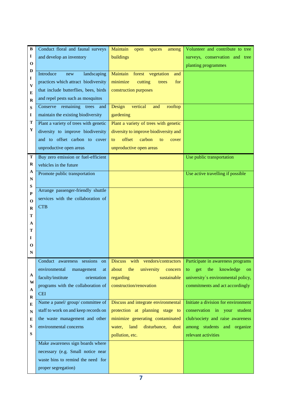| B           | Conduct floral and faunal surveys     | Maintain<br>open<br>spaces<br>among     | Volunteer and contribute to tree     |
|-------------|---------------------------------------|-----------------------------------------|--------------------------------------|
| I           | and develop an inventory              | buildings                               | surveys, conservation and tree       |
| $\mathbf 0$ |                                       |                                         | planting programmes                  |
| D           | Introduce<br>landscaping<br>new       | Maintain<br>forest<br>vegetation<br>and |                                      |
| 1           | practices which attract biodiversity  | minimize<br>cutting<br>for<br>trees     |                                      |
| V<br>E      | that include butterflies, bees, birds | construction purposes                   |                                      |
| R           | and repel pests such as mosquitos     |                                         |                                      |
| S           | remaining<br>Conserve<br>trees<br>and | Design<br>vertical<br>rooftop<br>and    |                                      |
| 1           | maintain the existing biodiversity    | gardening                               |                                      |
| Т           | Plant a variety of trees with genetic | Plant a variety of trees with genetic   |                                      |
| Y           | diversity to improve biodiversity     | diversity to improve biodiversity and   |                                      |
|             | and to offset carbon to cover         | offset<br>carbon<br>to<br>to<br>cover   |                                      |
|             | unproductive open areas               | unproductive open areas                 |                                      |
| T           | Buy zero emission or fuel-efficient   |                                         | Use public transportation            |
| $\bf R$     | vehicles in the future                |                                         |                                      |
| A           | Promote public transportation         |                                         | Use active travelling if possible    |
| $\mathbf N$ |                                       |                                         |                                      |
| S<br>P      | Arrange passenger-friendly shuttle    |                                         |                                      |
| 0           | services with the collaboration of    |                                         |                                      |
| R           | <b>CTB</b>                            |                                         |                                      |
| т           |                                       |                                         |                                      |
| A           |                                       |                                         |                                      |
| т           |                                       |                                         |                                      |
| 1           |                                       |                                         |                                      |
| О           |                                       |                                         |                                      |
| $\mathbf N$ |                                       |                                         |                                      |
|             | Conduct awareness sessions<br>on      | Discuss with vendors/contractors        | Participate in awareness programs    |
|             | environmental<br>management<br>at     | about<br>the<br>university<br>concern   | the<br>knowledge<br>get<br>to.<br>on |
| A<br>W      | faculty/institute<br>orientation      | regarding<br>sustainable                | university's environmental policy,   |
| A           | programs with the collaboration of    | construction/renovation                 | commitments and act accordingly      |
| $\mathbf R$ | <b>CEI</b>                            |                                         |                                      |
| E           | Name a panel/ group/ committee of     | Discuss and integrate environmental     | Initiate a division for environment  |
| N           | staff to work on and keep records on  | protection at planning stage to         | conservation in your<br>student      |
| E           | the waste management and other        | minimize generating contaminated        | club/society and raise awareness     |
| S           | environmental concerns                | disturbance,<br>land<br>water,<br>dust  | among students and organize          |
| ${\bf S}$   |                                       | pollution, etc.                         | relevant activities                  |
|             | Make awareness sign boards where      |                                         |                                      |
|             | necessary (e.g. Small notice near     |                                         |                                      |
|             | waste bins to remind the need for     |                                         |                                      |
|             | proper segregation)                   |                                         |                                      |